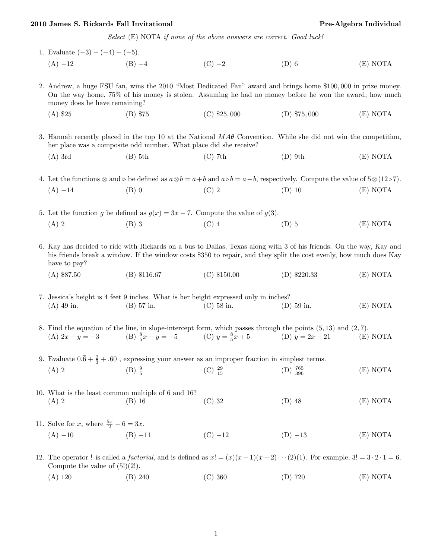## 2010 James S. Rickards Fall Invitational **Pre-Algebra Individual** Pre-Algebra Individual

Select (E) NOTA if none of the above answers are correct. Good luck!

| 1. Evaluate $(-3) - (-4) + (-5)$ .                                                                                                                                                                                                                        |                                                                          |                     |                                                                                                                                        |          |  |  |
|-----------------------------------------------------------------------------------------------------------------------------------------------------------------------------------------------------------------------------------------------------------|--------------------------------------------------------------------------|---------------------|----------------------------------------------------------------------------------------------------------------------------------------|----------|--|--|
| $(A) -12$ (B) $-4$                                                                                                                                                                                                                                        |                                                                          | $(C) -2$            | $(D)$ 6                                                                                                                                | (E) NOTA |  |  |
| 2. Andrew, a huge FSU fan, wins the 2010 "Most Dedicated Fan" award and brings home \$100,000 in prize money.<br>On the way home, 75% of his money is stolen. Assuming he had no money before he won the award, how much<br>money does he have remaining? |                                                                          |                     |                                                                                                                                        |          |  |  |
| $(A)$ \$25                                                                                                                                                                                                                                                | $(B)$ \$75                                                               | $(C)$ \$25,000      | $(D)$ \$75,000                                                                                                                         | (E) NOTA |  |  |
| 3. Hannah recently placed in the top 10 at the National $MA\theta$ Convention. While she did not win the competition,<br>her place was a composite odd number. What place did she receive?                                                                |                                                                          |                     |                                                                                                                                        |          |  |  |
| $(A)$ 3rd                                                                                                                                                                                                                                                 | $(B)$ 5th                                                                | $(C)$ 7th           | $(D)$ 9th                                                                                                                              | (E) NOTA |  |  |
| 4. Let the functions $\otimes$ and $\rho$ be defined as $a \otimes b = a + b$ and $a \circ b = a - b$ , respectively. Compute the value of $5 \otimes (12 \circ 7)$ .                                                                                     |                                                                          |                     |                                                                                                                                        |          |  |  |
| $(A) -14$                                                                                                                                                                                                                                                 | $(B)$ 0                                                                  | $(C)$ 2             | $(D)$ 10                                                                                                                               | (E) NOTA |  |  |
| 5. Let the function g be defined as $g(x) = 3x - 7$ . Compute the value of $g(3)$ .                                                                                                                                                                       |                                                                          |                     |                                                                                                                                        |          |  |  |
| $(A)$ 2                                                                                                                                                                                                                                                   | $(B)$ 3                                                                  | $(C)$ 4             | $(D)$ 5                                                                                                                                | (E) NOTA |  |  |
| 6. Kay has decided to ride with Rickards on a bus to Dallas, Texas along with 3 of his friends. On the way, Kay and<br>his friends break a window. If the window costs \$350 to repair, and they split the cost evenly, how much does Kay<br>have to pay? |                                                                          |                     |                                                                                                                                        |          |  |  |
| $(A)$ \$87.50                                                                                                                                                                                                                                             | $(B)$ \$116.67                                                           | $(C)$ \$150.00      | $(D)$ \$220.33                                                                                                                         | (E) NOTA |  |  |
| 7. Jessica's height is 4 feet 9 inches. What is her height expressed only in inches?                                                                                                                                                                      |                                                                          |                     |                                                                                                                                        |          |  |  |
| $(A)$ 49 in.                                                                                                                                                                                                                                              | $(B)$ 57 in.                                                             | $(C)$ 58 in.        | $(D)$ 59 in.                                                                                                                           | (E) NOTA |  |  |
|                                                                                                                                                                                                                                                           | (A) $2x - y = -3$ (B) $\frac{8}{5}x - y = -5$ (C) $y = \frac{8}{5}x + 5$ |                     | 8. Find the equation of the line, in slope-intercept form, which passes through the points $(5,13)$ and $(2,7)$ .<br>(D) $y = 2x - 21$ | (E) NOTA |  |  |
| 9. Evaluate $0.\overline{6} + \frac{2}{3} + .60$ , expressing your answer as an improper fraction in simplest terms.                                                                                                                                      |                                                                          |                     |                                                                                                                                        |          |  |  |
| $(A)$ 2                                                                                                                                                                                                                                                   | $(B) \frac{9}{5}$                                                        | (C) $\frac{29}{15}$ | $(D) \frac{765}{396}$                                                                                                                  | (E) NOTA |  |  |
| 10. What is the least common multiple of 6 and 16?<br>$(A)$ 2                                                                                                                                                                                             | $(B)$ 16                                                                 | $(C)$ 32            | $(D)$ 48                                                                                                                               | (E) NOTA |  |  |
| 11. Solve for x, where $\frac{5x}{2} - 6 = 3x$ .                                                                                                                                                                                                          |                                                                          |                     |                                                                                                                                        |          |  |  |
| $(A) -10$                                                                                                                                                                                                                                                 | $(B) -11$                                                                | $(C) -12$           | $(D) -13$                                                                                                                              | (E) NOTA |  |  |
| 12. The operator! is called a <i>factorial</i> , and is defined as $x! = (x)(x-1)(x-2)\cdots(2)(1)$ . For example, $3! = 3 \cdot 2 \cdot 1 = 6$ .<br>Compute the value of $(5!)(2!)$ .                                                                    |                                                                          |                     |                                                                                                                                        |          |  |  |
| $(A)$ 120                                                                                                                                                                                                                                                 | (B) 240                                                                  | (C) 360             | $(D)$ 720                                                                                                                              | (E) NOTA |  |  |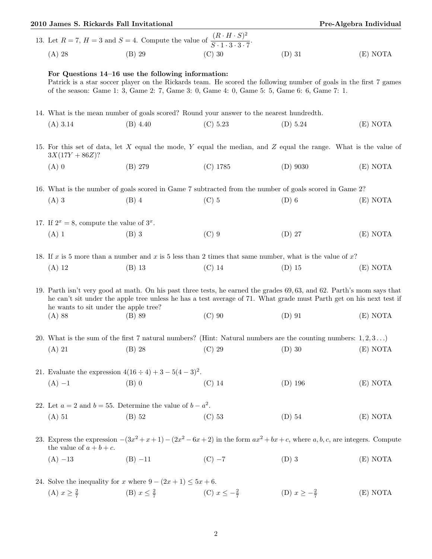| Pre-Algebra Individual<br>2010 James S. Rickards Fall Invitational                                                                                                                                                                                                                    |                                                                                                                                     |                                                                                                                     |                                                                                                                                                                                                                   |                           |          |  |  |
|---------------------------------------------------------------------------------------------------------------------------------------------------------------------------------------------------------------------------------------------------------------------------------------|-------------------------------------------------------------------------------------------------------------------------------------|---------------------------------------------------------------------------------------------------------------------|-------------------------------------------------------------------------------------------------------------------------------------------------------------------------------------------------------------------|---------------------------|----------|--|--|
| 13. Let $R = 7$ , $H = 3$ and $S = 4$ . Compute the value of $\frac{(R \cdot H \cdot S)^2}{S \cdot 1 \cdot 3 \cdot 3 \cdot 7}$ .                                                                                                                                                      |                                                                                                                                     |                                                                                                                     |                                                                                                                                                                                                                   |                           |          |  |  |
|                                                                                                                                                                                                                                                                                       | $(A)$ 28                                                                                                                            | $(B)$ 29                                                                                                            | $(C)$ 30                                                                                                                                                                                                          | $(D)$ 31                  | (E) NOTA |  |  |
|                                                                                                                                                                                                                                                                                       |                                                                                                                                     | For Questions 14–16 use the following information:                                                                  | Patrick is a star soccer player on the Rickards team. He scored the following number of goals in the first 7 games<br>of the season: Game 1: 3, Game 2: 7, Game 3: 0, Game 4: 0, Game 5: 5, Game 6: 6, Game 7: 1. |                           |          |  |  |
|                                                                                                                                                                                                                                                                                       | 14. What is the mean number of goals scored? Round your answer to the nearest hundredth.                                            |                                                                                                                     |                                                                                                                                                                                                                   |                           |          |  |  |
|                                                                                                                                                                                                                                                                                       | $(A)$ 3.14                                                                                                                          | $(B)$ 4.40                                                                                                          | (C) 5.23                                                                                                                                                                                                          | (D) 5.24                  | (E) NOTA |  |  |
|                                                                                                                                                                                                                                                                                       | 15. For this set of data, let X equal the mode, Y equal the median, and Z equal the range. What is the value of<br>$3X(17Y + 86Z)?$ |                                                                                                                     |                                                                                                                                                                                                                   |                           |          |  |  |
|                                                                                                                                                                                                                                                                                       | $(A)$ 0                                                                                                                             | (B) 279                                                                                                             | $(C)$ 1785                                                                                                                                                                                                        | $(D)$ 9030                | (E) NOTA |  |  |
|                                                                                                                                                                                                                                                                                       | 16. What is the number of goals scored in Game 7 subtracted from the number of goals scored in Game 2?                              |                                                                                                                     |                                                                                                                                                                                                                   |                           |          |  |  |
|                                                                                                                                                                                                                                                                                       | $(A)$ 3                                                                                                                             | $(B)$ 4                                                                                                             | $(C)$ 5                                                                                                                                                                                                           | $(D)$ 6                   | (E) NOTA |  |  |
|                                                                                                                                                                                                                                                                                       | 17. If $2^x = 8$ , compute the value of $3^x$ .                                                                                     |                                                                                                                     |                                                                                                                                                                                                                   |                           |          |  |  |
|                                                                                                                                                                                                                                                                                       | $(A)$ 1                                                                                                                             | $(B)$ 3                                                                                                             | $(C)$ 9                                                                                                                                                                                                           | $(D)$ 27                  | (E) NOTA |  |  |
|                                                                                                                                                                                                                                                                                       | 18. If x is 5 more than a number and x is 5 less than 2 times that same number, what is the value of x?                             |                                                                                                                     |                                                                                                                                                                                                                   |                           |          |  |  |
|                                                                                                                                                                                                                                                                                       | $(A)$ 12                                                                                                                            | $(B)$ 13                                                                                                            | $(C)$ 14                                                                                                                                                                                                          | $(D)$ 15                  | (E) NOTA |  |  |
| 19. Parth isn't very good at math. On his past three tests, he earned the grades 69,63, and 62. Parth's mom says that<br>he can't sit under the apple tree unless he has a test average of 71. What grade must Parth get on his next test if<br>he wants to sit under the apple tree? |                                                                                                                                     |                                                                                                                     |                                                                                                                                                                                                                   |                           |          |  |  |
|                                                                                                                                                                                                                                                                                       | (A) 88                                                                                                                              | (B) 89                                                                                                              | $(C)$ 90                                                                                                                                                                                                          | $(D)$ 91                  | (E) NOTA |  |  |
|                                                                                                                                                                                                                                                                                       |                                                                                                                                     |                                                                                                                     | 20. What is the sum of the first 7 natural numbers? (Hint: Natural numbers are the counting numbers: $1, 2, 3$ )                                                                                                  |                           |          |  |  |
|                                                                                                                                                                                                                                                                                       | $(A)$ 21                                                                                                                            | $(B)$ 28                                                                                                            | $(C)$ 29                                                                                                                                                                                                          | $(D)$ 30                  | (E) NOTA |  |  |
|                                                                                                                                                                                                                                                                                       | 21. Evaluate the expression $4(16 \div 4) + 3 - 5(4-3)^2$ .                                                                         |                                                                                                                     |                                                                                                                                                                                                                   |                           |          |  |  |
|                                                                                                                                                                                                                                                                                       | $(A) -1$                                                                                                                            | $(B)$ 0                                                                                                             | $(C)$ 14                                                                                                                                                                                                          | $(D)$ 196                 | (E) NOTA |  |  |
|                                                                                                                                                                                                                                                                                       | 22. Let $a = 2$ and $b = 55$ . Determine the value of $b - a^2$ .                                                                   |                                                                                                                     |                                                                                                                                                                                                                   |                           |          |  |  |
|                                                                                                                                                                                                                                                                                       | $(A)$ 51                                                                                                                            | $(B)$ 52                                                                                                            | $(C)$ 53                                                                                                                                                                                                          | $(D)$ 54                  | (E) NOTA |  |  |
|                                                                                                                                                                                                                                                                                       | the value of $a + b + c$ .                                                                                                          | 23. Express the expression $-(3x^2+x+1)-(2x^2-6x+2)$ in the form $ax^2+bx+c$ , where a, b, c, are integers. Compute |                                                                                                                                                                                                                   |                           |          |  |  |
|                                                                                                                                                                                                                                                                                       | $(A) -13$                                                                                                                           | $(B) -11$                                                                                                           | $(C) -7$                                                                                                                                                                                                          | $(D)$ 3                   | (E) NOTA |  |  |
|                                                                                                                                                                                                                                                                                       |                                                                                                                                     | 24. Solve the inequality for x where $9 - (2x + 1) \le 5x + 6$ .                                                    |                                                                                                                                                                                                                   |                           |          |  |  |
|                                                                                                                                                                                                                                                                                       | (A) $x \geq \frac{2}{7}$                                                                                                            |                                                                                                                     | (B) $x \le \frac{2}{7}$ (C) $x \le -\frac{2}{7}$                                                                                                                                                                  | (D) $x \geq -\frac{2}{7}$ | (E) NOTA |  |  |